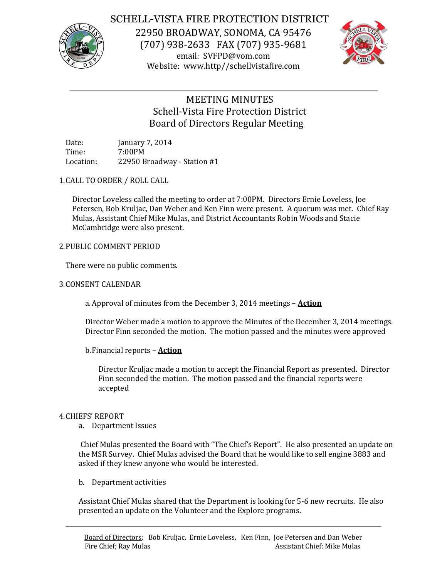

# SCHELL-VISTA FIRE PROTECTION DISTRICT

22950 BROADWAY, SONOMA, CA 95476 (707) 938-2633 FAX (707) 935-9681 email: SVFPD@vom.com Website: www.http//schellvistafire.com



# MEETING MINUTES Schell-Vista Fire Protection District Board of Directors Regular Meeting

Date: January 7, 2014 Time: 7:00PM Location: 22950 Broadway - Station #1

## 1.CALL TO ORDER / ROLL CALL

Director Loveless called the meeting to order at 7:00PM. Directors Ernie Loveless, Joe Petersen, Bob Kruljac, Dan Weber and Ken Finn were present. A quorum was met. Chief Ray Mulas, Assistant Chief Mike Mulas, and District Accountants Robin Woods and Stacie McCambridge were also present.

## 2.PUBLIC COMMENT PERIOD

There were no public comments.

## 3.CONSENT CALENDAR

a.Approval of minutes from the December 3, 2014 meetings – **Action**

Director Weber made a motion to approve the Minutes of the December 3, 2014 meetings. Director Finn seconded the motion. The motion passed and the minutes were approved

b.Financial reports – **Action**

Director Kruljac made a motion to accept the Financial Report as presented. Director Finn seconded the motion. The motion passed and the financial reports were accepted

## 4.CHIEFS' REPORT

a. Department Issues

Chief Mulas presented the Board with "The Chief's Report". He also presented an update on the MSR Survey. Chief Mulas advised the Board that he would like to sell engine 3883 and asked if they knew anyone who would be interested.

b. Department activities

Assistant Chief Mulas shared that the Department is looking for 5-6 new recruits. He also presented an update on the Volunteer and the Explore programs.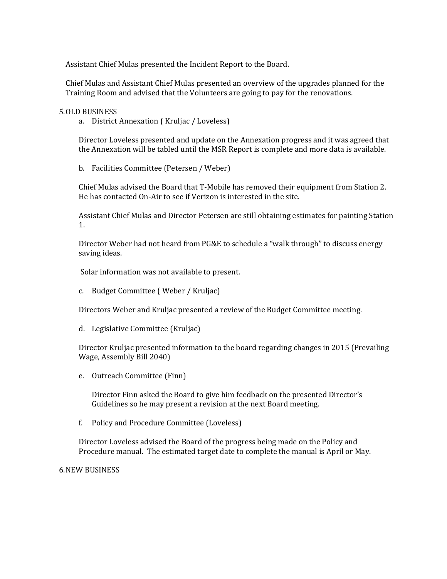Assistant Chief Mulas presented the Incident Report to the Board.

Chief Mulas and Assistant Chief Mulas presented an overview of the upgrades planned for the Training Room and advised that the Volunteers are going to pay for the renovations.

#### 5.OLD BUSINESS

a. District Annexation ( Kruljac / Loveless)

Director Loveless presented and update on the Annexation progress and it was agreed that the Annexation will be tabled until the MSR Report is complete and more data is available.

b. Facilities Committee (Petersen / Weber)

Chief Mulas advised the Board that T-Mobile has removed their equipment from Station 2. He has contacted On-Air to see if Verizon is interested in the site.

Assistant Chief Mulas and Director Petersen are still obtaining estimates for painting Station 1.

Director Weber had not heard from PG&E to schedule a "walk through" to discuss energy saving ideas.

Solar information was not available to present.

c. Budget Committee ( Weber / Kruljac)

Directors Weber and Kruljac presented a review of the Budget Committee meeting.

d. Legislative Committee (Kruljac)

Director Kruljac presented information to the board regarding changes in 2015 (Prevailing Wage, Assembly Bill 2040)

e. Outreach Committee (Finn)

Director Finn asked the Board to give him feedback on the presented Director's Guidelines so he may present a revision at the next Board meeting.

f. Policy and Procedure Committee (Loveless)

Director Loveless advised the Board of the progress being made on the Policy and Procedure manual. The estimated target date to complete the manual is April or May.

6.NEW BUSINESS